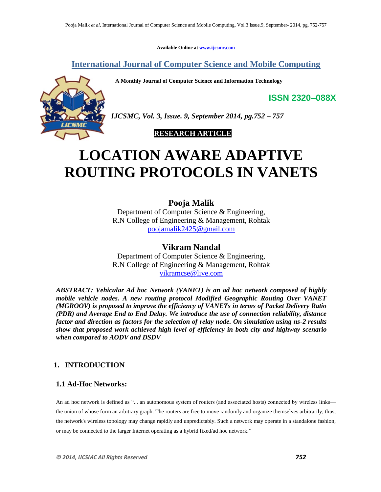**Available Online at www.ijcsmc.com**

**International Journal of Computer Science and Mobile Computing**

 **A Monthly Journal of Computer Science and Information Technology**



*IJCSMC, Vol. 3, Issue. 9, September 2014, pg.752 – 757*

 **RESEARCH ARTICLE**

# **LOCATION AWARE ADAPTIVE ROUTING PROTOCOLS IN VANETS**

# **Pooja Malik**

Department of Computer Science & Engineering, R.N College of Engineering & Management, Rohtak poojamalik2425@gmail.com

**Vikram Nandal** Department of Computer Science & Engineering, R.N College of Engineering & Management, Rohtak vikramcse@live.com

*ABSTRACT: Vehicular Ad hoc Network (VANET) is an ad hoc network composed of highly mobile vehicle nodes. A new routing protocol Modified Geographic Routing Over VANET (MGROOV) is proposed to improve the efficiency of VANETs in terms of Packet Delivery Ratio (PDR) and Average End to End Delay. We introduce the use of connection reliability, distance factor and direction as factors for the selection of relay node. On simulation using ns-2 results show that proposed work achieved high level of efficiency in both city and highway scenario when compared to AODV and DSDV*

## **1. INTRODUCTION**

## **1.1 Ad-Hoc Networks:**

An ad hoc network is defined as "... an autonomous system of routers (and associated hosts) connected by wireless links the union of whose form an arbitrary graph. The routers are free to move randomly and organize themselves arbitrarily; thus, the network's wireless topology may change rapidly and unpredictably. Such a network may operate in a standalone fashion, or may be connected to the larger Internet operating as a hybrid fixed/ad hoc network."

**ISSN 2320–088X**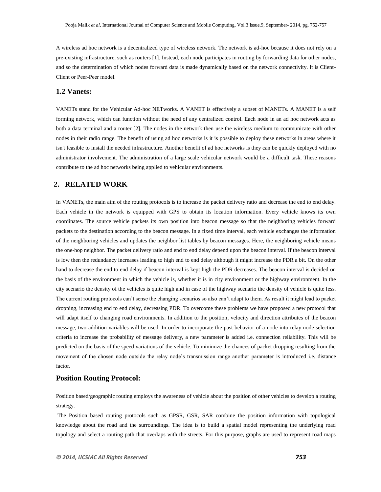A wireless ad hoc network is a decentralized type of wireless network. The network is ad-hoc because it does not rely on a pre-existing infrastructure, such as routers [1]. Instead, each node participates in routing by forwarding data for other nodes, and so the determination of which nodes forward data is made dynamically based on the network connectivity. It is Client-Client or Peer-Peer model.

#### **1.2 Vanets:**

VANETs stand for the Vehicular Ad-hoc NETworks. A VANET is effectively a subset of MANETs. A MANET is a self forming network, which can function without the need of any centralized control. Each node in an ad hoc network acts as both a data terminal and a router [2]. The nodes in the network then use the wireless medium to communicate with other nodes in their radio range. The benefit of using ad hoc networks is it is possible to deploy these networks in areas where it isn't feasible to install the needed infrastructure. Another benefit of ad hoc networks is they can be quickly deployed with no administrator involvement. The administration of a large scale vehicular network would be a difficult task. These reasons contribute to the ad hoc networks being applied to vehicular environments.

## **2. RELATED WORK**

In VANETs, the main aim of the routing protocols is to increase the packet delivery ratio and decrease the end to end delay. Each vehicle in the network is equipped with GPS to obtain its location information. Every vehicle knows its own coordinates. The source vehicle packets its own position into beacon message so that the neighboring vehicles forward packets to the destination according to the beacon message. In a fixed time interval, each vehicle exchanges the information of the neighboring vehicles and updates the neighbor list tables by beacon messages. Here, the neighboring vehicle means the one-hop neighbor. The packet delivery ratio and end to end delay depend upon the beacon interval. If the beacon interval is low then the redundancy increases leading to high end to end delay although it might increase the PDR a bit. On the other hand to decrease the end to end delay if beacon interval is kept high the PDR decreases. The beacon interval is decided on the basis of the environment in which the vehicle is, whether it is in city environment or the highway environment. In the city scenario the density of the vehicles is quite high and in case of the highway scenario the density of vehicle is quite less. The current routing protocols can't sense the changing scenarios so also can't adapt to them. As result it might lead to packet dropping, increasing end to end delay, decreasing PDR. To overcome these problems we have proposed a new protocol that will adapt itself to changing road environments. In addition to the position, velocity and direction attributes of the beacon message, two addition variables will be used. In order to incorporate the past behavior of a node into relay node selection criteria to increase the probability of message delivery, a new parameter is added i.e. connection reliability. This will be predicted on the basis of the speed variations of the vehicle. To minimize the chances of packet dropping resulting from the movement of the chosen node outside the relay node's transmission range another parameter is introduced i.e. distance factor.

#### **Position Routing Protocol:**

Position based/geographic routing employs the awareness of vehicle about the position of other vehicles to develop a routing strategy.

The Position based routing protocols such as GPSR, GSR, SAR combine the position information with topological knowledge about the road and the surroundings. The idea is to build a spatial model representing the underlying road topology and select a routing path that overlaps with the streets. For this purpose, graphs are used to represent road maps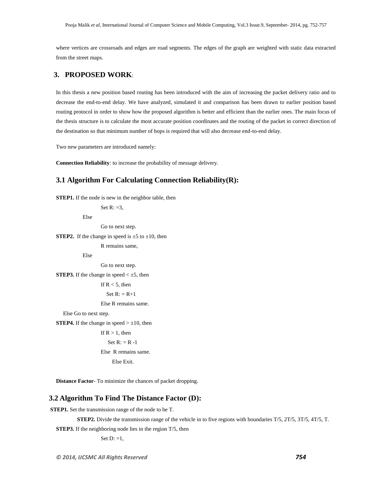where vertices are crossroads and edges are road segments. The edges of the graph are weighted with static data extracted from the street maps.

## **3. PROPOSED WORK**:

In this thesis a new position based routing has been introduced with the aim of increasing the packet delivery ratio and to decrease the end-to-end delay. We have analyzed, simulated it and comparison has been drawn to earlier position based routing protocol in order to show how the proposed algorithm is better and efficient than the earlier ones. The main focus of the thesis structure is to calculate the most accurate position coordinates and the routing of the packet in correct direction of the destination so that minimum number of hops is required that will also decrease end-to-end delay.

Two new parameters are introduced namely:

**Connection Reliability**: to increase the probability of message delivery.

## **3.1 Algorithm For Calculating Connection Reliability(R):**

**STEP1.** If the node is new in the neighbor table, then

Set  $R: =3$ ,

Else

Go to next step.

**STEP2.** If the change in speed is  $\pm 5$  to  $\pm 10$ , then

R remains same,

Else

Go to next step.

**STEP3.** If the change in speed  $\lt \pm 5$ , then

If  $R < 5$ , then

Set  $R: = R+1$ 

Else R remains same.

Else Go to next step.

**STEP4.** If the change in speed  $> \pm 10$ , then

```
If R > 1, then
Set R: = R -1
```
Else R remains same.

Else Exit.

**Distance Factor**- To minimize the chances of packet dropping.

## **3.2 Algorithm To Find The Distance Factor (D):**

**STEP1.** Set the transmission range of the node to be T.

 **STEP2.** Divide the transmission range of the vehicle in to five regions with boundaries T/5, 2T/5, 3T/5, 4T/5, T.

**STEP3.** If the neighboring node lies in the region T/5, then

Set  $D: =1$ ,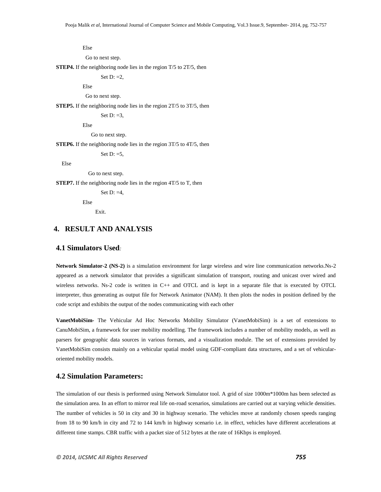Else

Go to next step.

**STEP4.** If the neighboring node lies in the region T/5 to 2T/5, then

Set  $D: =2$ ,

Else

Go to next step.

**STEP5.** If the neighboring node lies in the region 2T/5 to 3T/5, then

Set  $D: =3$ .

Else

Go to next step.

**STEP6.** If the neighboring node lies in the region 3T/5 to 4T/5, then

Set  $D: =5$ ,

Else

Go to next step.

**STEP7.** If the neighboring node lies in the region 4T/5 to T, then

Set  $D: =4$ .

Else

Exit.

## **4. RESULT AND ANALYSIS**

#### **4.1 Simulators Used***:*

**Network Simulator-2 (NS-2)** is a simulation environment for large wireless and wire line communication networks.Ns-2 appeared as a network simulator that provides a significant simulation of transport, routing and unicast over wired and wireless networks. Ns-2 code is written in C++ and OTCL and is kept in a separate file that is executed by OTCL interpreter, thus generating as output file for Network Animator (NAM). It then plots the nodes in position defined by the code script and exhibits the output of the nodes communicating with each other

**VanetMobiSim-** The Vehicular Ad Hoc Networks Mobility Simulator (VanetMobiSim) is a set of extensions to CanuMobiSim, a framework for user mobility modelling. The framework includes a number of mobility models, as well as parsers for geographic data sources in various formats, and a visualization module. The set of extensions provided by VanetMobiSim consists mainly on a vehicular spatial model using GDF-compliant data structures, and a set of vehicularoriented mobility models.

### **4.2 Simulation Parameters:**

The simulation of our thesis is performed using Network Simulator tool. A grid of size 1000m\*1000m has been selected as the simulation area. In an effort to mirror real life on-road scenarios, simulations are carried out at varying vehicle densities. The number of vehicles is 50 in city and 30 in highway scenario. The vehicles move at randomly chosen speeds ranging from 18 to 90 km/h in city and 72 to 144 km/h in highway scenario i.e. in effect, vehicles have different accelerations at different time stamps. CBR traffic with a packet size of 512 bytes at the rate of 16Kbps is employed.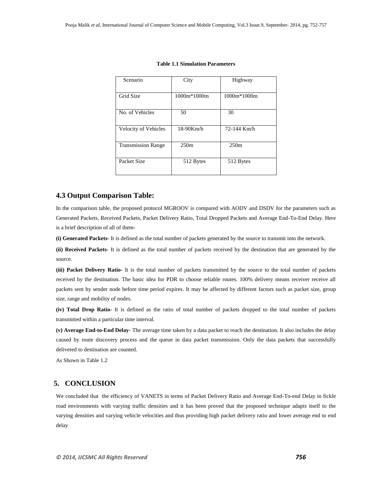| Scenario                    | City         | Highway     |  |
|-----------------------------|--------------|-------------|--|
| Grid Size                   | 1000m*1000m  | 1000m*1000m |  |
| No. of Vehicles             | 50           | 30          |  |
| <b>Velocity of Vehicles</b> | $18-90$ Km/h | 72-144 Km/h |  |
| <b>Transmission Range</b>   | 250m         | 250m        |  |
| Packet Size                 | 512 Bytes    | 512 Bytes   |  |

#### **Table 1.1 Simulation Parameters**

#### **4.3 Output Comparison Table:**

In the comparison table, the proposed protocol MGROOV is compared with AODV and DSDV for the parameters such as Generated Packets, Received Packets, Packet Delivery Ratio, Total Dropped Packets and Average End-To-End Delay. Here is a brief description of all of them-

**(i) Generated Packets-** It is defined as the total number of packets generated by the source to transmit into the network.

**(ii) Received Packets**- It is defined as the total number of packets received by the destination that are generated by the source.

**(iii) Packet Delivery Ratio**- It is the total number of packets transmitted by the source to the total number of packets received by the destination. The basic idea for PDR to choose reliable routes. 100% delivery means receiver receive all packets sent by sender node before time period expires. It may be affected by different factors such as packet size, group size, range and mobility of nodes.

**(iv) Total Drop Ratio**- It is defined as the ratio of total number of packets dropped to the total number of packets transmitted within a particular time interval.

**(v) Average End-to-End Delay**- The average time taken by a data packet to reach the destination. It also includes the delay caused by route discovery process and the queue in data packet transmission. Only the data packets that successfully delivered to destination are counted.

As Shown in Table 1.2

## **5. CONCLUSION**

We concluded that the efficiency of VANETS in terms of Packet Delivery Ratio and Average End-To-end Delay in fickle road environments with varying traffic densities and it has been proved that the proposed technique adapts itself to the varying densities and varying vehicle velocities and thus providing high packet delivery ratio and lower average end to end delay